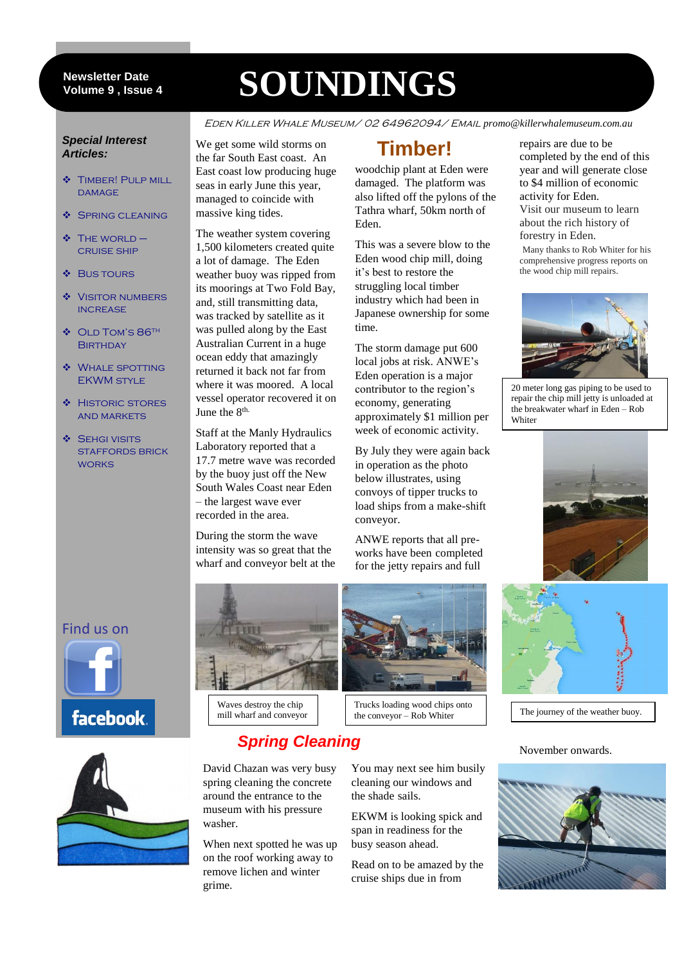#### 9 **Volume 9 , Issue 4 Newsletter Date**

# **SOUNDINGS**

Eden Killer Whale Museum/ 02 64962094/ Email *promo@killerwhalemuseum.com.au*

#### *Special Interest Articles:*

- **\*** TIMBER! PULP MILL DAMAGE
- ❖ SPRING CLEANING
- $\div$  The world cruise ship
- **❖ BUS TOURS**
- **VISITOR NUMBERS INCREASE**
- ◆ OLD TOM'S 86<sup>TH</sup> **BIRTHDAY**
- Whale spotting EKWM style
- **\*** HISTORIC STORES and markets
- ◆ SEHGI VISITS staffords brick **WORKS**

We get some wild storms on the far South East coast. An East coast low producing huge seas in early June this year, managed to coincide with massive king tides.

The weather system covering 1,500 kilometers created quite a lot of damage. The Eden weather buoy was ripped from its moorings at Two Fold Bay, and, still transmitting data, was tracked by satellite as it was pulled along by the East Australian Current in a huge ocean eddy that amazingly returned it back not far from where it was moored. A local vessel operator recovered it on June the 8<sup>th.</sup>

Staff at the Manly Hydraulics Laboratory reported that a 17.7 metre wave was recorded by the buoy just off the New South Wales Coast near Eden – the largest wave ever recorded in the area.

During the storm the wave intensity was so great that the wharf and conveyor belt at the

# **Timber!**

woodchip plant at Eden were damaged. The platform was also lifted off the pylons of the Tathra wharf, 50km north of Eden.

This was a severe blow to the Eden wood chip mill, doing it's best to restore the struggling local timber industry which had been in Japanese ownership for some time.

The storm damage put 600 local jobs at risk. ANWE's Eden operation is a major contributor to the region's economy, generating approximately \$1 million per week of economic activity.

By July they were again back in operation as the photo below illustrates, using convoys of tipper trucks to load ships from a make-shift conveyor.

ANWE reports that all preworks have been completed for the jetty repairs and full

repairs are due to be completed by the end of this year and will generate close to \$4 million of economic activity for Eden. Visit our museum to learn about the rich history of forestry in Eden. Many thanks to Rob Whiter for his

comprehensive progress reports on the wood chip mill repairs.



20 meter long gas piping to be used to repair the chip mill jetty is unloaded at the breakwater wharf in Eden – Rob **Whiter** 



#### Find us on







Waves destroy the chip mill wharf and conveyor

# *Spring Cleaning*

David Chazan was very busy spring cleaning the concrete around the entrance to the museum with his pressure washer.

When next spotted he was up on the roof working away to remove lichen and winter grime.



Trucks loading wood chips onto The journey of the weather buoy.<br>The journey of the weather buoy.

You may next see him busily cleaning our windows and the shade sails.

EKWM is looking spick and span in readiness for the busy season ahead.

Read on to be amazed by the cruise ships due in from

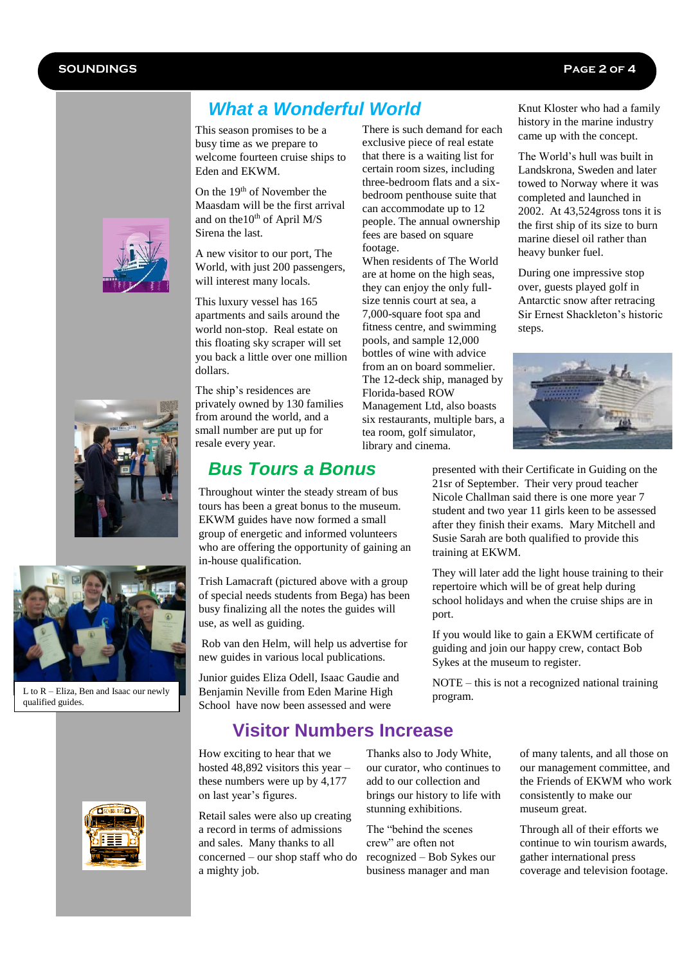### *What a Wonderful World*

This season promises to be a busy time as we prepare to welcome fourteen cruise ships to Eden and EKWM.

On the 19<sup>th</sup> of November the Maasdam will be the first arrival and on the  $10^{th}$  of April M/S Sirena the last.

A new visitor to our port, The World, with just 200 passengers, will interest many locals.

This luxury vessel has 165 apartments and sails around the world non-stop. Real estate on this floating sky scraper will set you back a little over one million dollars.

The ship's residences are privately owned by 130 families from around the world, and a small number are put up for resale every year.

#### *Bus Tours a Bonus*

Throughout winter the steady stream of bus tours has been a great bonus to the museum. EKWM guides have now formed a small group of energetic and informed volunteers who are offering the opportunity of gaining an in-house qualification.

Trish Lamacraft (pictured above with a group of special needs students from Bega) has been busy finalizing all the notes the guides will use, as well as guiding.

Rob van den Helm, will help us advertise for new guides in various local publications.

Junior guides Eliza Odell, Isaac Gaudie and Benjamin Neville from Eden Marine High School have now been assessed and were

#### **Visitor Numbers Increase**

How exciting to hear that we hosted 48,892 visitors this year – these numbers were up by 4,177 on last year's figures.

Retail sales were also up creating a record in terms of admissions and sales. Many thanks to all concerned – our shop staff who do a mighty job.

Thanks also to Jody White, our curator, who continues to add to our collection and brings our history to life with stunning exhibitions.

The "behind the scenes crew" are often not recognized – Bob Sykes our business manager and man

Knut Kloster who had a family history in the marine industry came up with the concept.

The World's hull was built in Landskrona, Sweden and later towed to Norway where it was completed and launched in 2002. At 43,524gross tons it is the first ship of its size to burn marine diesel oil rather than heavy bunker fuel.

During one impressive stop over, guests played golf in Antarctic snow after retracing Sir Ernest Shackleton's historic steps.





They will later add the light house training to their repertoire which will be of great help during school holidays and when the cruise ships are in port.

If you would like to gain a EKWM certificate of guiding and join our happy crew, contact Bob Sykes at the museum to register.

NOTE – this is not a recognized national training program.

> of many talents, and all those on our management committee, and the Friends of EKWM who work consistently to make our museum great.

Through all of their efforts we continue to win tourism awards, gather international press coverage and television footage.







L to R – Eliza, Ben and Isaac our newly qualified guides.





can accommodate up to 12 people. The annual ownership fees are based on square When residents of The World are at home on the high seas,

they can enjoy the only fullsize tennis court at sea, a 7,000-square foot spa and fitness centre, and swimming pools, and sample 12,000 bottles of wine with advice from an on board sommelier. The 12-deck ship, managed by Florida-based ROW Management Ltd, also boasts six restaurants, multiple bars, a tea room, golf simulator, library and cinema.

There is such demand for each exclusive piece of real estate that there is a waiting list for certain room sizes, including three-bedroom flats and a sixbedroom penthouse suite that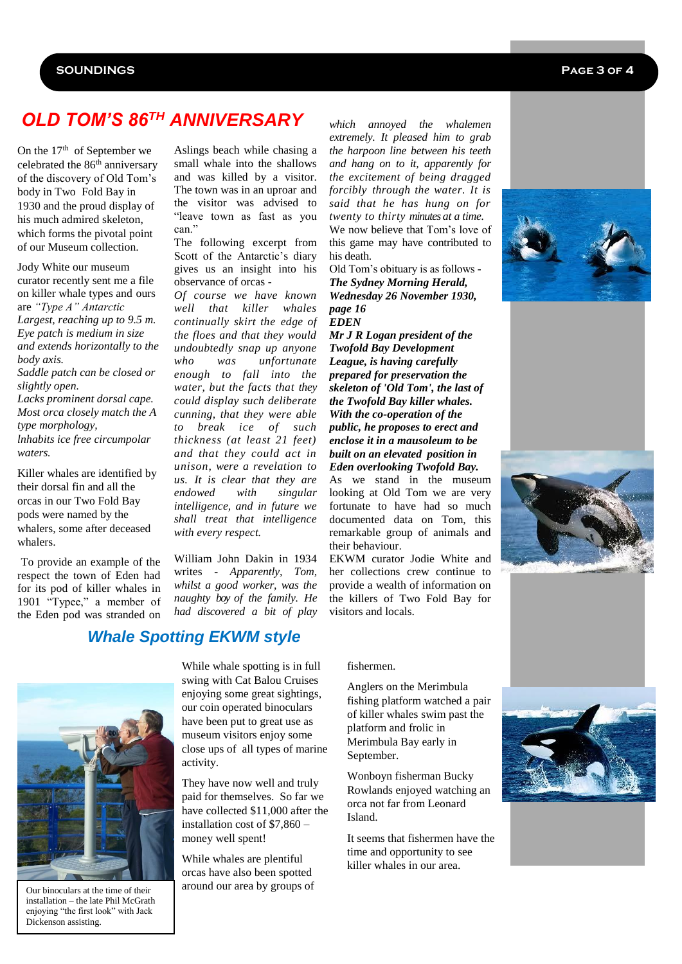# *OLD TOM'S 86TH ANNIVERSARY*

On the  $17<sup>th</sup>$  of September we celebrated the 86th anniversary of the discovery of Old Tom's body in Two Fold Bay in 1930 and the proud display of his much admired skeleton, which forms the pivotal point of our Museum collection.

Jody White our museum curator recently sent me a file on killer whale types and ours are *"Type A" Antarctic Largest, reaching up to 9.5 m. Eye patch is medium in size and extends horizontally to the body axis. Saddle patch can be closed or slightly open.*

*Lacks prominent dorsal cape. Most orca closely match the A type morphology, lnhabits ice free circumpolar waters.*

Killer whales are identified by their dorsal fin and all the orcas in our Two Fold Bay pods were named by the whalers, some after deceased whalers.

To provide an example of the respect the town of Eden had for its pod of killer whales in 1901 "Typee," a member of the Eden pod was stranded on

Aslings beach while chasing a small whale into the shallows and was killed by a visitor. The town was in an uproar and the visitor was advised to "leave town as fast as you can."

The following excerpt from Scott of the Antarctic's diary gives us an insight into his observance of orcas -

*Of course we have known well that killer whales continually skirt the edge of the floes and that they would undoubtedly snap up anyone who was unfortunate enough to fall into the water, but the facts that they could display such deliberate cunning, that they were able to break ice of such thickness (at least 21 feet) and that they could act in unison, were a revelation to us. It is clear that they are endowed with singular intelligence, and in future we shall treat that intelligence with every respect.*

William John Dakin in 1934 writes - *Apparently, Tom, whilst a good worker, was the naughty boy of the family. He had discovered a bit of play* 

#### *Whale Spotting EKWM style*



Our binoculars at the time of their installation – the late Phil McGrath enjoying "the first look" with Jack Dickenson assisting.

While whale spotting is in full swing with Cat Balou Cruises enjoying some great sightings, our coin operated binoculars have been put to great use as museum visitors enjoy some close ups of all types of marine activity.

They have now well and truly paid for themselves. So far we have collected \$11,000 after the installation cost of \$7,860 – money well spent!

While whales are plentiful orcas have also been spotted around our area by groups of

*which annoyed the whalemen extremely. It pleased him to grab the harpoon line between his teeth and hang on to it, apparently for the excitement of being dragged forcibly through the water. It is said that he has hung on for twenty to thirty minutes at a time.* We now believe that Tom's love of this game may have contributed to his death.

Old Tom's obituary is as follows - *The Sydney Morning Herald, Wednesday 26 November 1930, page 16 EDEN* 

*Mr J R Logan president of the Twofold Bay Development League, is having carefully prepared for preservation the skeleton of 'Old Tom', the last of the Twofold Bay killer whales. With the co-operation of the public, he proposes to erect and enclose it in a mausoleum to be built on an elevated position in Eden overlooking Twofold Bay.*

As we stand in the museum looking at Old Tom we are very fortunate to have had so much documented data on Tom, this remarkable group of animals and their behaviour.

EKWM curator Jodie White and her collections crew continue to provide a wealth of information on the killers of Two Fold Bay for visitors and locals.

#### fishermen.

Anglers on the Merimbula fishing platform watched a pair of killer whales swim past the platform and frolic in Merimbula Bay early in September.

Wonboyn fisherman Bucky Rowlands enjoyed watching an orca not far from Leonard Island.

It seems that fishermen have the time and opportunity to see killer whales in our area.